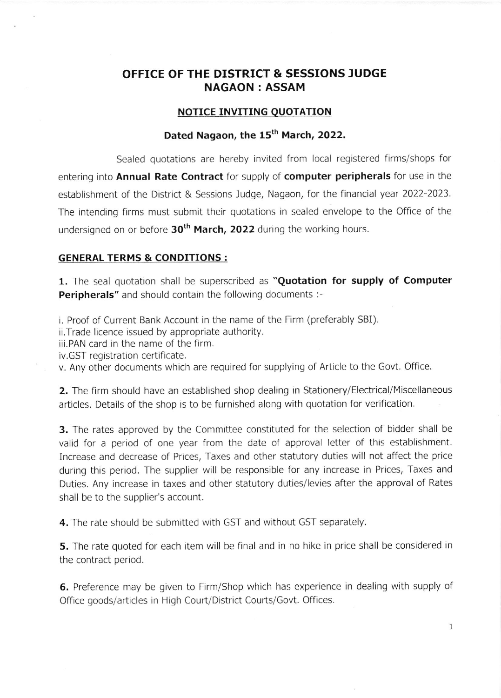## OFFICE OF THE DISTRICT & SESSIONS JUDGE NAGAON : ASSAM

#### NOTICE INVITING OUOTATION

## Dated Nagaon, the 15<sup>th</sup> March, 2022.

Sealed quotations are hereby invited from local reqistered firms/shops for entering into Annual Rate Contract for supply of computer peripherals for use in the establishment of the District & Sessions Judge, Nagaon, for the financial year 2022-2023. The intending firms must submit their quotations in sealed envelope to the Office of the undersigned on or before 30<sup>th</sup> March, 2022 during the working hours.

#### GENERAL TERMS & CONDITIONS :

1. The seal quotation shall be superscribed as "Quotation for supply of Computer Peripherals" and should contain the following documents :-

i. Proof of Current Bank Account in the name of the Firm (preferably SBI),

ii.Trade licence issued by appropriate authority.

iii.PAN card in the name of the firm.

iv.GST registration certificate.

v. Any other documents which are required for supplying of Article to the Govt. Office

2. The firm should have an established shop dealing in Stationery/Electrical/Miscellaneous articles. Details of the shop is to be furnished along with quotation for verification.

**3.** The rates approved by the Committee constituted for the selection of bidder shall be valid for a period of one year from the date of approval letter of this establishment. Increase and decrease of Prices, Taxes and other statutory duties will not affect the price during this period. The supplier will be responsible for any increase in Prices, Taxes and Duties. Any increase in taxes and other statutory duties/levies after the approval of Rates shall be to the supplier's account.

4. The rate should be submitted with GST and without GST separately.

**5.** The rate quoted for each item will be final and in no hike in price shall be considered in the contract period.

6. Preference may be given to Firm/Shop which has experience in dealing with supply of Office goods/articles in High Court/District Courts/Govt. Offices.

1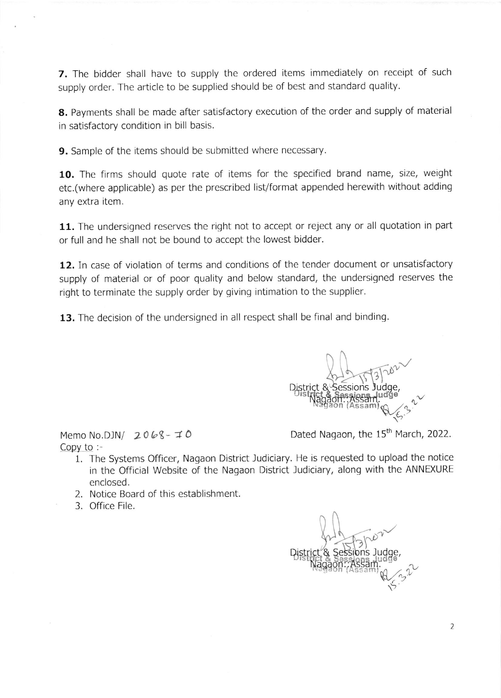7. The bidder shall have to supply the ordered items immediately on receipt of such supply order. The article to be supplied should be of best and standard quality.

8. Payments shall be made after satisfactory execution of the order and supply of material in satisfactory condition in bill basis.

9. Sample of the items should be submitted where necessary.

10. The firms should quote rate of items for the specified brand name, size, weight etc.(where applicable) as per the prescribed list/format appended herewith without adding any extra item.

11. The undersigned reserves the right not to accept or reject any or all quotation in part or full and he shall not be bound to accept the lowest bidder.

12. In case of violation of terms and conditions of the tender document or unsatisfactory supply of material or of poor quality and below standard, the undersigned reserves the right to terminate the supply order by giving intimation to the supplier.

13. The decision of the undersigned in all respect shall be final and binding.

Memo No.DJN/  $2068 - 70$ Copy to :-

 $\overline{\mathcal{C}}$ District & Sessions on (Assam  $Q(3)$  $\sim$ 6.

Dated Nagaon, the 15<sup>th</sup> March, 2022.

- 1. The Systems Officer, Nagaon District Judiciary. He is requested to upload the notice in the Official Website of the Nagaon District Judiciary, along with the ANNEXURE enclosed.
- 2. Notice Board of this establishment.
- 3. Office File.

DiSt  $2^{\circ}$  $\sim$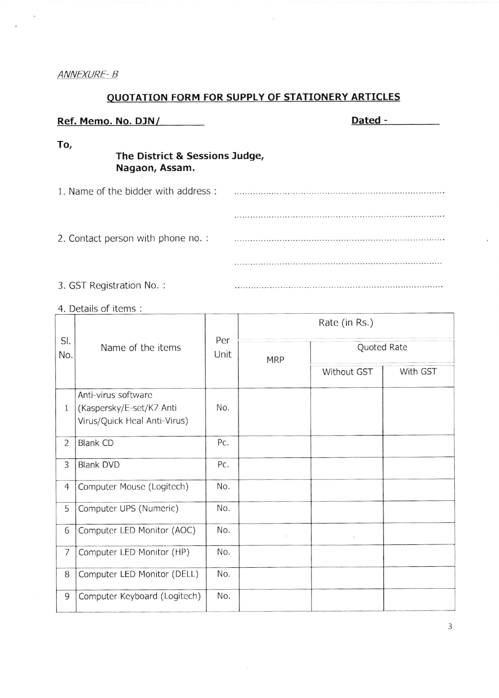### ANNEXURE-B

# QUOTATION FORM FOR SUPPLY OF STATIONERY ARTICLES

| Ref. Memo. No. DJN/                                     | Dated - |  |  |  |  |  |
|---------------------------------------------------------|---------|--|--|--|--|--|
| To,<br>The District & Sessions Judge,<br>Nagaon, Assam. |         |  |  |  |  |  |
| 1. Name of the bidder with address:                     |         |  |  |  |  |  |
|                                                         |         |  |  |  |  |  |
| 2. Contact person with phone no. :                      |         |  |  |  |  |  |
|                                                         |         |  |  |  |  |  |
| 3. GST Registration No.:                                |         |  |  |  |  |  |

4. Details of items :

| SI.<br>No.     | Name of the items                                                               | Per<br>Unit | Rate (in Rs.) |             |          |  |
|----------------|---------------------------------------------------------------------------------|-------------|---------------|-------------|----------|--|
|                |                                                                                 |             | <b>MRP</b>    | Quoted Rate |          |  |
|                |                                                                                 |             |               | Without GST | With GST |  |
| $\mathbf{1}$   | Anti-virus software<br>(Kaspersky/E-set/K7 Anti<br>Virus/Quick Heal Anti-Virus) | No.         |               |             |          |  |
| $\overline{2}$ | <b>Blank CD</b>                                                                 | Pc.         |               |             |          |  |
| 3              | <b>Blank DVD</b>                                                                | Pc.         |               |             |          |  |
| $\overline{4}$ | Computer Mouse (Logitech)                                                       | No.         |               |             |          |  |
| 5              | Computer UPS (Numeric)                                                          | No.         |               |             |          |  |
| 6              | Computer LED Monitor (AOC)                                                      | No.         |               | X.          |          |  |
| $\overline{7}$ | Computer LED Monitor (HP)                                                       | No.         |               |             |          |  |
| 8              | Computer LED Monitor (DELL)                                                     | No.         |               |             |          |  |
| 9              | Computer Keyboard (Logitech)                                                    | No.         |               |             |          |  |